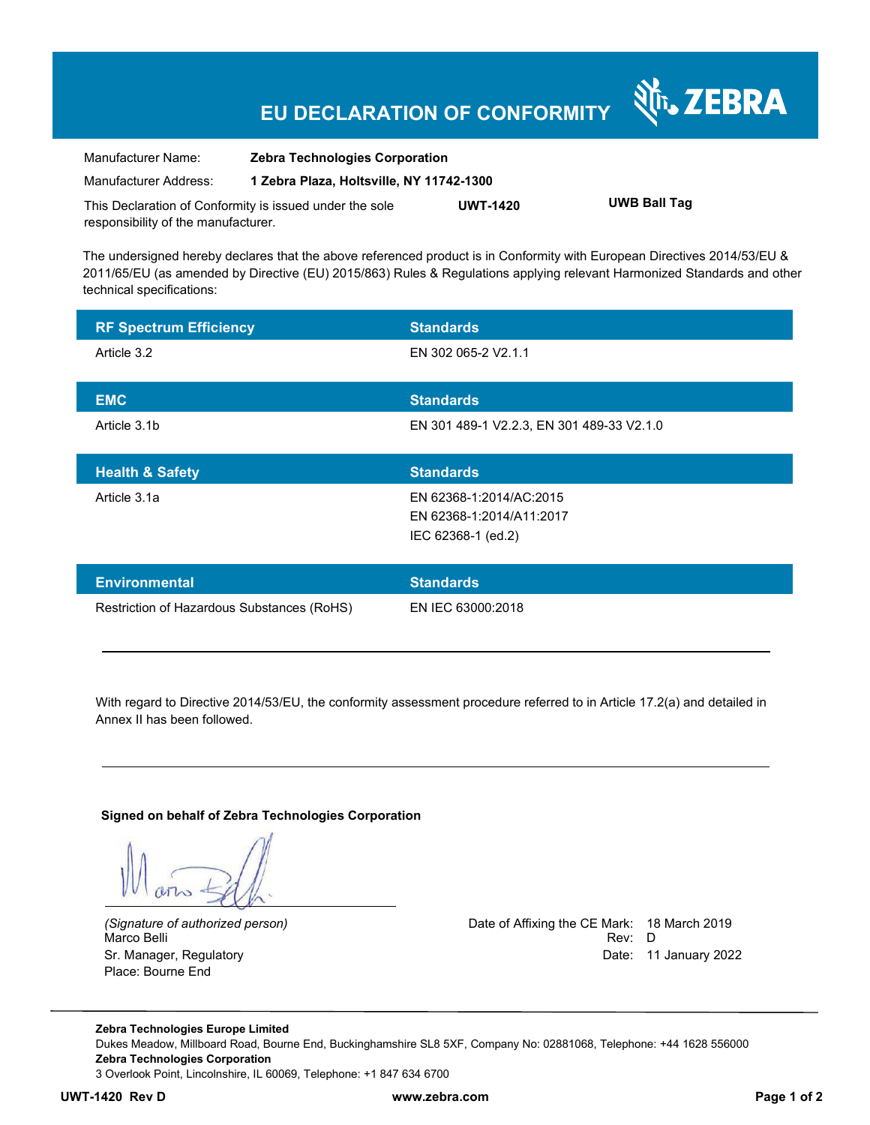## **EU DECLARATION OF CONFORMITY**

| Manufacturer Name:                                      | <b>Zebra Technologies Corporation</b>    |                 |                     |  |
|---------------------------------------------------------|------------------------------------------|-----------------|---------------------|--|
| Manufacturer Address:                                   | 1 Zebra Plaza, Holtsville, NY 11742-1300 |                 |                     |  |
| This Declaration of Conformity is issued under the sole |                                          | <b>UWT-1420</b> | <b>UWB Ball Tag</b> |  |
| responsibility of the manufacturer.                     |                                          |                 |                     |  |

The undersigned hereby declares that the above referenced product is in Conformity with European Directives 2014/53/EU & 2011/65/EU (as amended by Directive (EU) 2015/863) Rules & Regulations applying relevant Harmonized Standards and other technical specifications:

| <b>RF Spectrum Efficiency</b> | <b>Standards</b>                          |
|-------------------------------|-------------------------------------------|
| Article 3.2                   | EN 302 065-2 V2.1.1                       |
|                               |                                           |
| <b>EMC</b>                    | <b>Standards</b>                          |
| Article 3.1b                  | EN 301 489-1 V2.2.3, EN 301 489-33 V2.1.0 |
|                               |                                           |
| <b>Health &amp; Safety</b>    | <b>Standards</b>                          |
| Article 3.1a                  | EN 62368-1:2014/AC:2015                   |
|                               | EN 62368-1:2014/A11:2017                  |
|                               | IEC 62368-1 (ed.2)                        |

| Restriction of Hazardous Substances (RoHS) | EN IEC 63000:2018 |  |
|--------------------------------------------|-------------------|--|

With regard to Directive 2014/53/EU, the conformity assessment procedure referred to in Article 17.2(a) and detailed in Annex II has been followed.

#### **Signed on behalf of Zebra Technologies Corporation**

Place: Bourne End

*(Signature of authorized person)* Date of Affixing the CE Mark: 18 March 2019 Marco Belli Rev: D Sr. Manager, Regulatory Date: 11 January 2022

र्शे<sub>ि</sub> ZEBRA

**Zebra Technologies Europe Limited**  Dukes Meadow, Millboard Road, Bourne End, Buckinghamshire SL8 5XF, Company No: 02881068, Telephone: +44 1628 556000 **Zebra Technologies Corporation**  3 Overlook Point, Lincolnshire, IL 60069, Telephone: +1 847 634 6700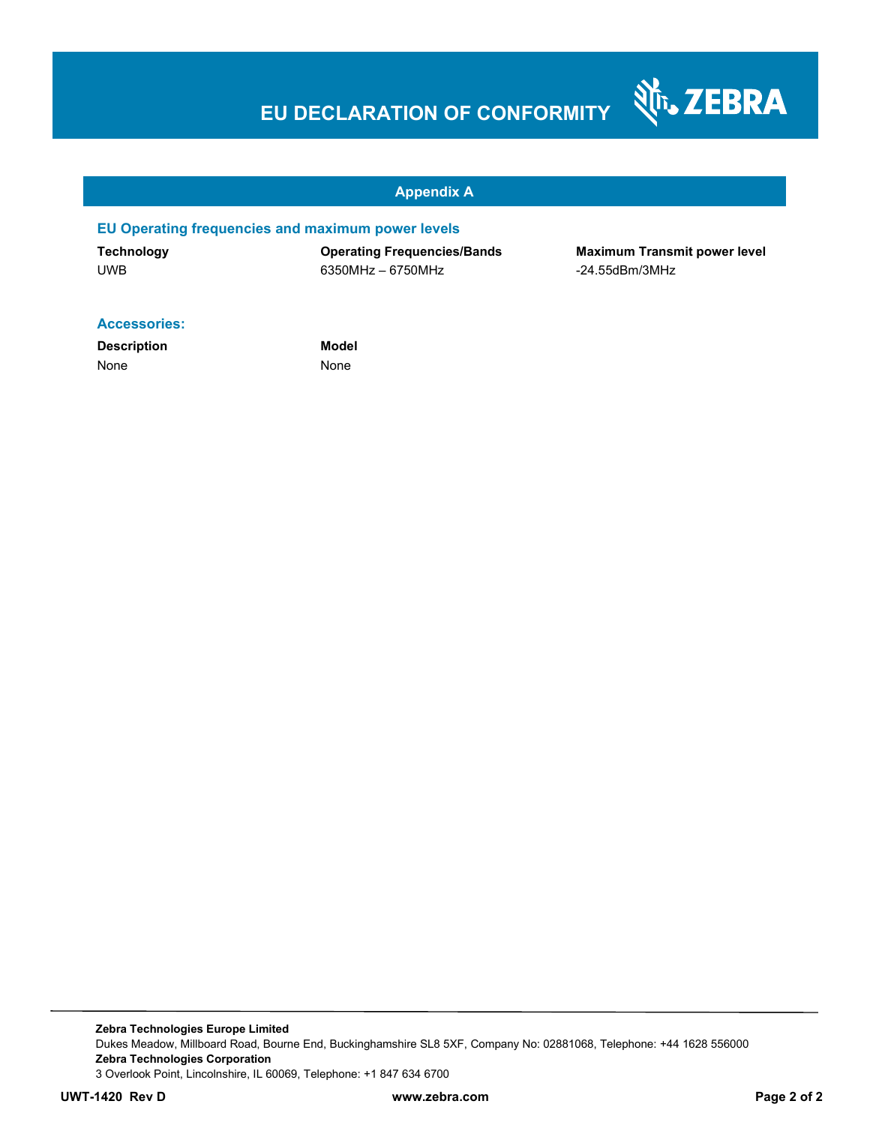# **EU DECLARATION OF CONFORMITY**



#### **Appendix A**

#### **EU Operating frequencies and maximum power levels**

UWB 6350MHz – 6750MHz -24.55dBm/3MHz

**Technology Operating Frequencies/Bands Maximum Transmit power level** 

#### **Accessories:**

**Description Model** None None